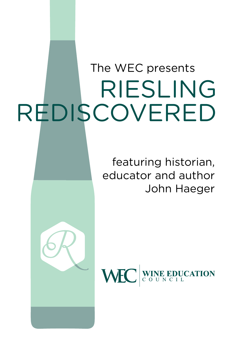# The WEC presents RIESLING REDISCOVERED

featuring historian, educator and author John Haeger

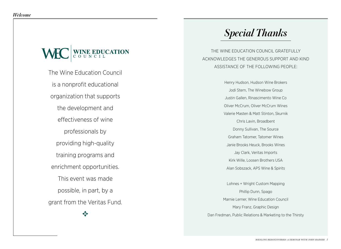# WINE EDUCATION

The Wine Education Council is a nonprofit educational organization that supports the development and effectiveness of wine professionals by providing high-quality training programs and enrichment opportunities. This event was made possible, in part, by a grant from the Veritas Fund.

✥

# *Special Thanks*

THE WINE EDUCATION COUNCIL GRATEFULLY ACKNOWLEDGES THE GENEROUS SUPPORT AND KIND ASSISTANCE OF THE FOLLOWING PEOPLE:

> Henry Hudson, Hudson Wine Brokers Jodi Stern, The Winebow Group Justin Gallen, Rinascimento Wine Co Oliver McCrum, Oliver McCrum Wines Valerie Masten & Matt Stinton, Skurnik Chris Lavin, Broadbent Donny Sullivan, The Source Graham Tatomer, Tatomer Wines Janie Brooks Heuck, Brooks Wines Jay Clark, Veritas Imports Kirk Wille, Loosen Brothers USA Alan Sobszack, APS Wine & Spirits

Lohnes + Wright Custom Mapping Phillip Dunn, Spago Marnie Lerner, Wine Education Council Mary Franz, Graphic Design Dan Fredman, Public Relations & Marketing to the Thirsty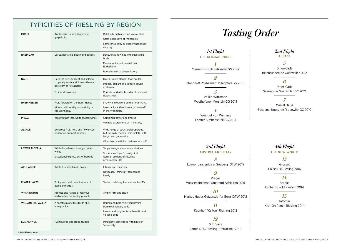## TYPICITIES OF RIESLING BY REGION

| <b>MOSEL</b>                                | Apple, pear, quince, lemon and<br>grapefruit                                                                                  | Relatively high acid and low alcohol<br>Often expressive of "minerality"<br>Sometimes edgy or brittle when made<br>very dry                          |
|---------------------------------------------|-------------------------------------------------------------------------------------------------------------------------------|------------------------------------------------------------------------------------------------------------------------------------------------------|
| <b>RHEINGAU</b>                             | Citrus, nectarine, peach and apricot                                                                                          | Deep, elegant wines with substantial<br>body<br>More angular and mineral near<br>Rüdesheim<br>Rounder east of Johannisberg                           |
| <b>NAHE</b>                                 | Herb-infused, pungent and kaleido-<br>scopically fruit- and flower- flavored<br>upstream of Kreuznach;<br>Fruitier downstream | Overall, more elegant than opulent<br>Intense, brilliant and texture-driven<br>upstream;<br>Rounder and a bit broader-shouldered<br>downstream       |
| <b>RHEINHESSEN</b>                          | Fruit-forward on the Roter Hang;<br>Vibrant with acidity and salinity in<br>the Wonnegau                                      | Showy and opulent on the Roter Hang;<br>Lean, lanky and exuberantly "mineral"<br>in the Wonnegau                                                     |
| <b>PFALZ</b>                                | Yellow rather than white-fruited wines                                                                                        | Combined power and finesse<br>Variable expressions of "minerality"                                                                                   |
| <b>ALSACE</b>                               | Generous fruit: herb and flower com-<br>ponents in supporting roles                                                           | Wide range of structural properties,<br>but typically round at mid-palate, with<br>length and generosity<br>Often heady, with finished alcohol =>14° |
| <b>LOWER AUSTRIA</b>                        | White-to-yellow-to-orange fruited<br>wines<br>Occasional expressions of botrytis                                              | Tangy, energetic and mineral wines<br>Sometimes "riper" than typical<br>German editions of Riesling;<br>occasionally >14°                            |
| <b>ALTO ADIGE</b>                           | White fruit and lemon custard                                                                                                 | Intense and muscular<br>Noticeably "mineral"; sometimes<br>heady                                                                                     |
| <b>FINGER LAKES</b>                         | Fruity and mild, combinations of<br>apple and citrus                                                                          | Taut and relatively low in alcohol (<13°)                                                                                                            |
| <b>WASHINGTON</b>                           | Aromas and flavors of resinous<br>herbs; often noticeably phenolic                                                            | Ample, firm and clean                                                                                                                                |
| <b>WILLAMETTE VALLEY</b>                    | A spectrum of citrus fruits plus<br>honeysuckle                                                                               | Round and borderline flamboyant<br>from sedimentary soils;<br>Leaner and brighter from basaltic and<br>volcanic soils                                |
| <b>LOS ALAMOS</b><br>© John Winthrop Haeger | Full flavored and stone-fruited                                                                                               | Persistent: sometimes with hints of<br>"minerality"                                                                                                  |

# *Tasting Order*

### *1st Flight* THE GERMAN RHINE

*1* Clemens Busch Falkenlay GG 2012

*2* Dönnhoff Roxheimer Höllenpfad GG 2015

> *3* Phillip Wittmann Westhofener Morstein GG 2015

*4* Weingut von Winning Forster Kirchenstück GG 2013

### *3rd Flight*  AUSTRIA AND ITALY

*8* Loimer Langenloiser Seeberg 1ÖTW 2015

### *9*

Prager Weissenkirchener Smaragd Achleiten 2015

## *10*

Markus Huber Getzersdorfer Berg 1ÖTW 2012

*11* Kuenhof "Kaiton" Riesling 2012

### *12* G. D Vajra Lange DOC Riesling "Pètracine" 2012

### *2nd Flight*  ALSACE

*5* Dirler-Cadé Belzbrunnen de Guebwiller 2012

*6* Dirler-Cadé Saering de Guebwiller GC 2012

*7* Marcel Deiss Schoenenbourg de Riquewihr GC 2010

### *4th Flight*  THE NEW WORLD

*13* Grosset Polish Hill Riesling 2016

*14* Brooks Orchards Fold Riesling 2014

*15* Tatomer Kick-On Ranch Riesling 2014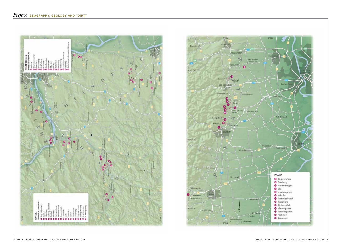

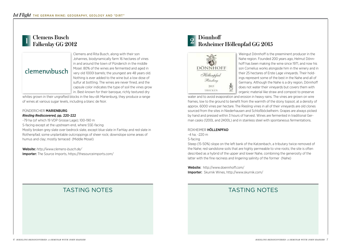# Clemens Busch 1 Clemens Dusch<br>
Falkenlay GG 2012

# clemenwhusch

Clemens and Rita Busch, along with their son Johannes, biodynamically farm 16 hectares of vines in and around the town of Pünderich in the middle Mosel. 80% of the wines are fermented and aged in very old 1000l barrels; the youngest are 48 years old. Nothing is ever added to the wine but a low dose of sulfur at bottling. The wines are never fined, and the capsule color indicates the type of soil the vines grow in. Best-known for their baroque, richly textured dry

whites grown in their ungrafted blocks in the lieu-dit Marienburg, they produce a range of wines at various sugar levels, including a blanc de Noir.

### PÜNDERICHER MARIENBURG

### *Riesling Rediscovered,* pp. 220-222

~79 ha (of which 19 VDP Grosse Lage); 100-190 m S-facing except at the upstream end, where SSE-facing Mostly broken grey slate over bedrock slate, except blue slate in Farhlay and red slate in Rothenpfad; some unplantable outcroppings of sheer rock; downslope some areas of humus and clay; mostly terraced (Middle Mosel)

Website: *http://www.clemens-busch.de/* Importer: The Source Imports, https://thesourceimports.com/

# Dönnhoff Roxheimer Höllenpfad GG 2015



Weingut Dönnhoff is the preeminent producer in the Nahe region. Founded 200 years ago, Helmut Dönnhoff has been making the wine since 1971, and now his son Cornelius works alongside him in the winery and in their 25 hectares of Erste Lage vineyards. Their holdings represent some of the best in the Nahe and all of Germany. Although the Nahe is a dry region, Dönnhoff does not water their vineyards but covers them with organic material like straw and compost to preserve

water and to avoid evaporation and erosion in heavy rains. The vines are grown on wire frames, low to the ground to benefit from the warmth of the stony topsoil, at a density of approx. 6000 vines per hectare. The Riesling vines in all of their vineyards are old clones sourced from the sites in Niederhausen and Schloßböckelheim. Grapes are always picked by hand and pressed within 3 hours of harvest. Wines are fermented in traditional German casks (1200L and 2400L) and in stainless steel with spontaneous fermentations.

### ROXHEIMER HÖLLENPFAD

~4 ha; ~220 m S-facing

Steep (15-50%) slope on the left bank of the Katzenbach, a tributary twice-removed of the Nahe; red sandstone soils that are highly permeable to vine roots; the site is often described as a hybrid of the upper and lower Nahe, combining the generosity of the latter with the fine raciness and lingering salinity of the former (Nahe)

Website: http://www.doennhoff.com/ Importer: Skurnik Wines, http://www.skurnik.com/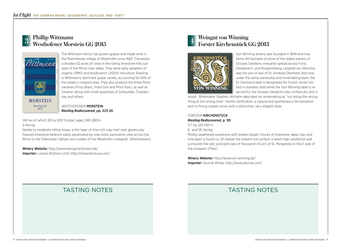# Phillip Wittmann Westhofener Morstein GG 2015 3 4



The Wittmann family has grown grapes and made wine in the Rheinhessen village of Westhofen since 1663. The estate cultivates 62 acres of vines in the rolling limestone hills just west of the Rhine river valley. They were early adopters of organic (1990) and biodynamic (2004) viticulture. Riesling is Wittmann's dominant grape variety, accounting for 65% of the estate's vineyard area. They also produce the three Pinot varieties (Pinot Blanc, Pinot Gris and Pinot Noir), as well as Silvaner, along with small quantities of Scheurebe, Chardonnay and others.

### WESTHOFENER **MORSTEIN** *Riesling Rediscovered*, pp. 223-26

144 ha (of which 30 ha VDP Grosse Lage); 240-280m S-facing

Gentle to moderate hilltop slope; a thin layer of lime-rich clay-marl over generously fissured limestone bedrock easily penetrated by vine roots; panoramic view across the Rhine to the Odenwald; highest and coolest of the Westhofen vineyards (Rheinhessen)

Winery Website: http://www.weingutwittmann.de/ Importer: Loosen Brothers USA, http://loosenbrosusa.com/

# Weingut von Winning Forster Kirchenstück GG 2013



Von Winning winery was founded in 1849 and now farms 40 hectares of some of the oldest parcels of Grosses Gewächs vineyards spread across Forst, Deidesheim, and Ruppertsberg. Leopold von Winning was the son-in-law of Dr. Andreas Dienhard, and now, under the same ownership and winemaking team, the Dr. Deinhard label is designated for fruitier wines vinified in stainless steel while the Von Winning label is reserved for the Grosses Gewächs sites vinified dry and in

wood. Winemaker Stephen Attmann describes his winemaking as "not doing the wrong thing at the wrong time." Gentle clarification, a natural and spontaneous fermentation and no fining creates wines with a distinctive, very elegant style.

### FORSTER KIRCHENSTÜCK *Riesling Rediscovered*, p. 90 3.7 ha; 120-140 m E- and SE-facing

Mostly weathered sandstone with broken basalt; chunks of limestone; deep clay-andlime layer is found ca. 2m below the present soil surface; a waist-high sandstone wall surrounds the site; postcard view of the parish church of St. Margareta on the E side of the vineyard (Pfalz)

Winery Website: http://www.von-winning.de/ Importer: Skurnik Wines, http://www.skurnik.com/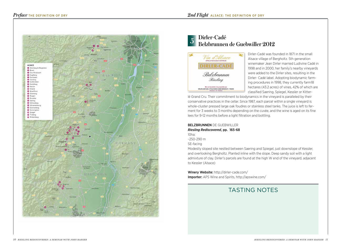

### Dirler-Cadé Belzbrunnen de Guebwiller 2012 5



Dirler-Cadé was founded in 1871 in the small Alsace village of Bergholtz. 5th generation winemaker Jean Dirler married Ludivine Cadé in 1998 and in 2000, her family's nearby vineyards were added to the Dirler sites, resulting in the Dirler- Cadé label. Adopting biodynamic farming procedures in 1998, they currently farm18 hectares (43.2 acres) of vines, 42% of which are classified Saering, Spiegel, Kessler or Kitter-

lé Grand Cru. Their commitment to biodynamics in the vineyard is paralleled by their conservative practices in the cellar. Since 1987, each parcel within a single vineyard is whole-cluster pressed large oak foudres or stainless steel tanks. The juice is left to ferment for 3 weeks to 3 months depending on the cuvée, and the wine is aged on its fine lees for 9-12 months before a light filtration and bottling.

BELZBRUNNEN DE GUEBWILLER *Riesling Rediscovered*, pp. 165-68 10ha; ~250-290 m SE-facing

Modestly sloped site nestled between Saering and Spiegel, just downslope of Kessler, and overlooking Bergholtz. Planted inline with the slope. Deep sandy soil with a light admixture of clay. Dirler's parcels are found at the high W end of the vineyard, adjacent to Kessler (Alsace)

Winery Website: http://dirler-cade.com/ Importer: APS Wine and Spirits, http://apswine.com/

# TASTING NOTES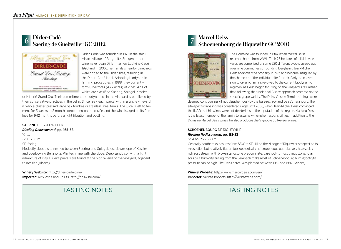# Dirler-Cadé 6 Differ-Cade<br>Saering de Guebwiller GC 2012



Dirler-Cadé was founded in 1871 in the small Alsace village of Bergholtz. 5th generation winemaker Jean Dirler married Ludivine Cadé in 1998 and in 2000, her family's nearby vineyards were added to the Dirler sites, resulting in the Dirler- Cadé label. Adopting biodynamic farming procedures in 1998, they currently farm18 hectares (43.2 acres) of vines, 42% of which are classified Saering, Spiegel, Kessler

or Kitterlé Grand Cru. Their commitment to biodynamics in the vineyard is paralleled by their conservative practices in the cellar. Since 1987, each parcel within a single vineyard is whole-cluster pressed large oak foudres or stainless steel tanks. The juice is left to ferment for 3 weeks to 3 months depending on the cuvée, and the wine is aged on its fine lees for 9-12 months before a light filtration and bottling.

### SAERING DE GUEBWILLER

### *Riesling Rediscovered*, pp. 165-68

10ha; ~250-290 m

SE-facing

Modestly sloped site nestled between Saering and Spiegel, just downslope of Kessler, and overlooking Bergholtz. Planted inline with the slope. Deep sandy soil with a light admixture of clay. Dirler's parcels are found at the high W end of the vineyard, adjacent to Kessler (Alsace)

### Winery Website: http://dirler-cade.com/ Importer: APS Wine and Spirits, http://apswine.com/

# TASTING NOTES TASTING NOTES

# Marcel Deiss Schoenenbourg de Riquewihr GC 2010



The Domaine was founded in 1947 when Marcel Deiss returned home from WWII. Their 26 hectares of hillside vineyards are comprised of some 220 different blocks spread out over nine communes surrounding Bergheim. Jean-Michel Deiss took over the property in 1973 and became intrigued by the character of the individual sites' terroir. Early-on conversion to organic farming evolved to the current biodynamic regimen, as Deiss began focusing on the vineyard sites, rather than following the traditional Alsace approach centered on the specific grape variety. The Deiss Vins de Terroir bottlings were

deemed controversial (if not blasphemous) by the bureaucracy and Deiss's neighbors. The site-specific labeling was considered illegal until 2005, when Jean-Michel Deiss convinced the INAO that his wines were not deleterious to the reputation of the region. Mathieu Deiss is the latest member of the family to assume winemaker responsibilities. In addition to the Domaine Marcel Deiss wines, he also produces the Vignoble du Rêveur wines.

## SCHOENENBOURG DE RIQUEWIHR *Riesling Rediscovered*, pp. 181-83

53.4 ha; 265-380 m

Generally southern exposures from SSW to SE Hill on the N edge of Riquewihr steepest at its midsection but relatively flat on top; geologically heterogeneous but relatively heavy, clayrich soils strewn with broken sandstone predominate; base rock is mostly mudstone. Clay soils plus humidity arising from the Sembach make most of Schoenenbourg humid; botrytis pressure can be high. The Deiss parcel was planted between 1952 and 1982. (Alsace)

Winery Website: http://www.marceldeiss.com/en/ Importer: Veritas Imports, http://veritaswine.com/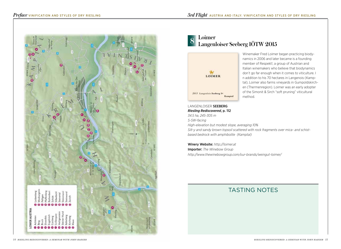

### Loimer Langenloiser Seeberg 1ÖTW 2015 8



Winemaker Fred Loimer began practicing biodynamics in 2006 and later became is a founding member of Respekt!, a group of Austrian and Italian winemakers who believe that biodynamics don't go far enough when it comes to viticulture. I n addition to his 70 hectares in Langenois (Kamptal), Loimer also farms vineyards in Gumpoldskirchen (Thermenregion). Loimer was an early adopter of the Simonit & Sirch "soft pruning" viticultural method.

LANGENLOISER SEEBERG *Riesling Rediscovered*, p. 112 *34.5 ha, 245-305 m S-SW-facing High-elevation but modest slope, averaging 10% Silt-y and sandy brown topsoil scattered with rock fragments over mica- and schistbased bedrock with amphibolite (Kamptal)*

Winery Website: *http://loimer.at* Importer: *The Winebow Group http://www.thewinebowgroup.com/our-brands/weingut-loimer/*

# TASTING NOTES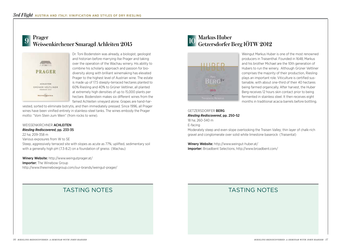# Prager g Frager<br>Weissenkirchener Smaragd Achleiten 2015



Dr. Toni Bodenstein was already, a biologist, geologist and historian before marrying Ilse Prager and taking over the operation of the Wachau winery. His ability to combine his scholarly approach and passion for biodiversity along with brilliant winemaking has elevated Prager to the highest level of Austrian wine. The estate is made up of 17.5 steeply-terraced hectares planted to 60% Riesling and 40% to Grüner Veltliner, all planted at extremely high densities of up to 15,000 plants per hectare. Bodenstein makes six different wines from the famed Achleiten vineyard alone. Grapes are hand-har-

vested, sorted to eliminate botrytis, and then immediately pressed. Since 1996, all Prager wines have been vinified entirely in stainless-steel tanks. The wines embody the Prager motto: "Vom Stein zum Wein" (from rocks to wine).

### WEISSENKIRCHNER ACHLEITEN *Riesling Rediscovered*, pp. 233-35

22 ha; 209-358 m Various exposures from W to SE Steep, aggressively terraced site with slopes as acute as 77%; uplifted, sedimentary soil with a generally high pH (7.3-8.2) on a foundation of gneiss (Wachau)

Winery Website: http://www.weingutprager.at/ **Importer:** The Winebow Group http://www.thewinebowgroup.com/our-brands/weingut-prager/

# Markus Huber Getzersdorfer Berg 1ÖTW 2012



Weingut Markus Huber is one of the most renowned producers in Traisenthal. Founded in 1648, Markus and his brother Michael are the 10th generation of Hubers to run the winery. Although Grüner Veltliner comprises the majority of their production, Riesling plays an important role. Viticulture is certified sustainable, with about one-third of their 40 hectares being farmed organically. After harvest, the Huber Berg receives 12 hours skin contact prior to being fermented in stainless steel. It then receives eight months in traditional acacia barrels before bottling.

### GETZERSDORFER BERG *Riesling Rediscovered*, pp. 250-52 18 ha; 260-340 m E-facing

Moderately steep and even slope overlooking the Traisen Valley; thin layer of chalk-rich gravel and conglomerate over solid white limestone baserock (Traisental)

Winery Website: http://www.weingut-huber.at/ Importer: Broadbent Selections, http://www.broadbent.com/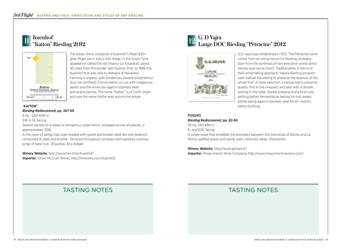# Kuenhof 11 Ruennor<br>"Kaiton" Riesling 2012



The steep, stony vineyards of KuenHof's Peter & Brigitte Pliger are in Italy's Alto Adige, in the South Tyrol appellation called the Val d'Isarco (or Eisacktal), about 30 miles from the border with Austria. Prior to 1989, the KuenHof fruit was sold to Abbazia di Novacella. Farming is organic, with tendencies toward biodynamics (but not certified). Fermentation occurs with indigenous yeasts and the wines are aged in stainless steel and acacia barrels. The name "Kaiton" is of Celtic origin, and was the name forthe area around the estate.

### *"*KAITON" *Riesling Rediscovered*, pp. 267-69

6 ha; ~500-600 m

SW-S-SE-facing

Several parcels on a steep to vertiginous slope which, averaged across all parcels, is approximately 30%.

A thin layer of sandy clay-loam loaded with gravel and broken slate lies over bedrock composed of slate and phyllite. Terraced throughout; terraces interrupted by outcroppings of bare rock (Eisacktal, Alto Adige)

Winery Website: http://www.fws.it/en/kuenhof/ Importer: Oliver McCrum Wines, http://omwines.com/kuenhof/

# 12 G. D Vajra Lange DOC Riesling "Pètracine" 2012



G.D. Vajra was established in 1972. The Pètracine name comes from an old synonym for Riesling, probably born from the synthesis of two evocative words petra (stone) and racine (root). Traditionalists in terms of their winemaking approach, Vajra's Riesling program uses manual harvesting to preserve the essence of the whole fruit. A triple selection is transacted to preserve quality: first in the vineyard, and later with a double sorting in the cellar. Gentle pressing and a brief cold settling before fermentation lasting for two weeks before being aged in stainless steel for 6+ months before bottling.

### FOSSATI

*Riesling Rediscovered*, pp. 82-84

34 ha; 340-480 m E- and ESE-facing

A single slope that straddles the boundary between the townships of Barolo and La Morra; uplifted gravel and sandy loam; relatively steep (Piemonte)

Winery Website: http://www.gdvajra.it/ Importer: Rinascimento Wine Company, http://www.rinascimentowineco.com/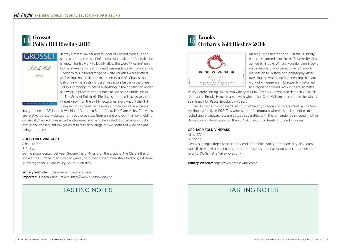# Grosset 14 Subset<br>
Polish Hill Riesling 2016



Jeffrey Grosset, owner and founder of Grosset Wines, is considered among the most influential winemakers in Australia. He is known for his work to legally allow the word "Riesling" on a bottle of Aussie wine if it indeed was made solely from Riesling – prior to this, a broad range of white varieties were bottled as Riesling (not unlike the mid-century use of "Chablis" on California wine labels). Grosset was also a leader in the Clare Valley's campaign to bottle everything in the appellation under screwcap, a process he continues to use on his entire lineup. The Grosset Polish Hill Riesling is produced exclusively from grapes grown on the eight-hectare, estate-owned Polish Hill Vineyard. It has been made every vintage since the winery's

CLARE VALLEY RIESLING

inauguration in 1981 in the township of Auburn in South Australia's Clare Valley. The vines are relatively closely-planted to three clones (two German and one Oz), this low-yielding, organically farmed vineyard is hand-pruned and hand harvested. Its challenging rocky profile and consequent low yields results in an average of two bottles of wine per vine being produced.

### POLISH HILL VINEYARD

8 ha; ~450 m

E-facing

Gentle slope located between Sevenhill and Mintaro on the E side of the Clare; silt and shale at the surface, then clay and gravel, both over ancient blue shale bedrock; extremely low-vigor soil (Clare Valley, South Australia)

Winery Website: https://www.grosset.com.au/ Importer: Hudson Wine Brokers, http://www.hudsonwine.us/

# TASTING NOTES

# Brooks Orchards Fold Riesling 2014



Riesling is the heart and soul of the 20 biodynamically-farmed acres in the Eola/Amity Hills owned by Brooks Winery. Founder Jimi Brooks was a visionary who came to wine through his passion for history and philosophy. After traveling the world and experiencing the hard work of winemaking in Europe, Jimi returned to Oregon and found work in the Willamette

Valley before setting up his own winery in 1994. After his unexpected death in 2004, his sister Janie Brooks Heuck teamed with winemaker Chris Williams to continue the winery as a legacy for Pascal Brooks, Jimi's son.

The Orchards Fold vineyard lies south of Salem, Oregon and was planted by the Von Volkinburg family in 1978. This wine is part of a program wherein small quantities of selected single-vineyard lots are bottled separately, with the remainder being used in other Brooks blends. Production on the 2014 Orchards Fold Riesling totaled 75 cases.

### ORCHARD FOLD VINEYARD

~5 ha; 177 m

~E-facing

Gently sloping hilltop site near the N end of the Eola-Amity formation; silty clay-loam topsoil strewn with broken basaltic and tuffaceous material; good water-retention and fertility (Willamette Valley, Oregon)

Winery Website: http://www.brookswine.com/

# TASTING NOTES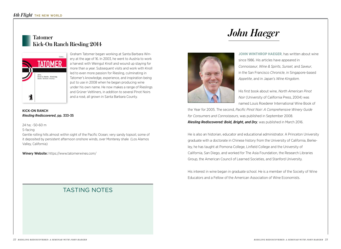# *John Haeger*

## Tatomer Kick-On Ranch Riesling 2014



Graham Tatomer began working at Santa Barbara Winery at the age of 16. In 2003, he went to Austria to work a harvest with Weingut Knoll and wound up staying for more than a year. Subsequent visits and work with Knoll led to even more passion for Riesling, culminating in Tatomer's knowledge, experience, and inspiration being put to use in 2008 when he began producing wine under his own name. He now makes a range of Rieslings and Grüner Veltliners, in addition to several Pinot Noirs and a rosé, all grown in Santa Barbara County.

### KICK-ON RANCH *Riesling Rediscovered*, pp. 333-35

24 ha; ~50-60 m

### S-facing

Gentle rolling hills almost within sight of the Pacific Ocean; very sandy topsoil, some of it deposited by persistent afternoon onshore winds, over Monterey shale (Los Alamos Valley, California)

Winery Website: https://www.tatomerwines.com/

# TASTING NOTES



**JOHN WINTHROP HAEGER**, has written about wine since 1986. His articles have appeared in *Connoisseur*, *Wine & Spirits*, *Sunset,* and *Saveur*, in the San Francisco *Chronicle*, in Singapore-based *Appetite*, and in Japan's *Wine Kingdom*.

His first book about wine, *North American Pinot Noir* (University of California Press, 2004) was named Louis Roederer International Wine Book of

the Year for 2005. The second, *Pacific Pinot Noir: A Comprehensive Winery Guide for Consumers and Connoisseurs*, was published in September 2008. *Riesling Rediscovered: Bold, Bright, and Dry*, was published in March 2016.

He is also an historian, educator and educational administrator. A Princeton University graduate with a doctorate in Chinese history from the University of California, Berkeley, he has taught at Pomona College, Linfield College and the University of California, San Diego, and worked for The Asia Foundation, the Research Libraries Group, the American Council of Learned Societies, and Stanford University.

His interest in wine began in graduate school. He is a member of the Society of Wine Educators and a Fellow of the American Association of Wine Economists.